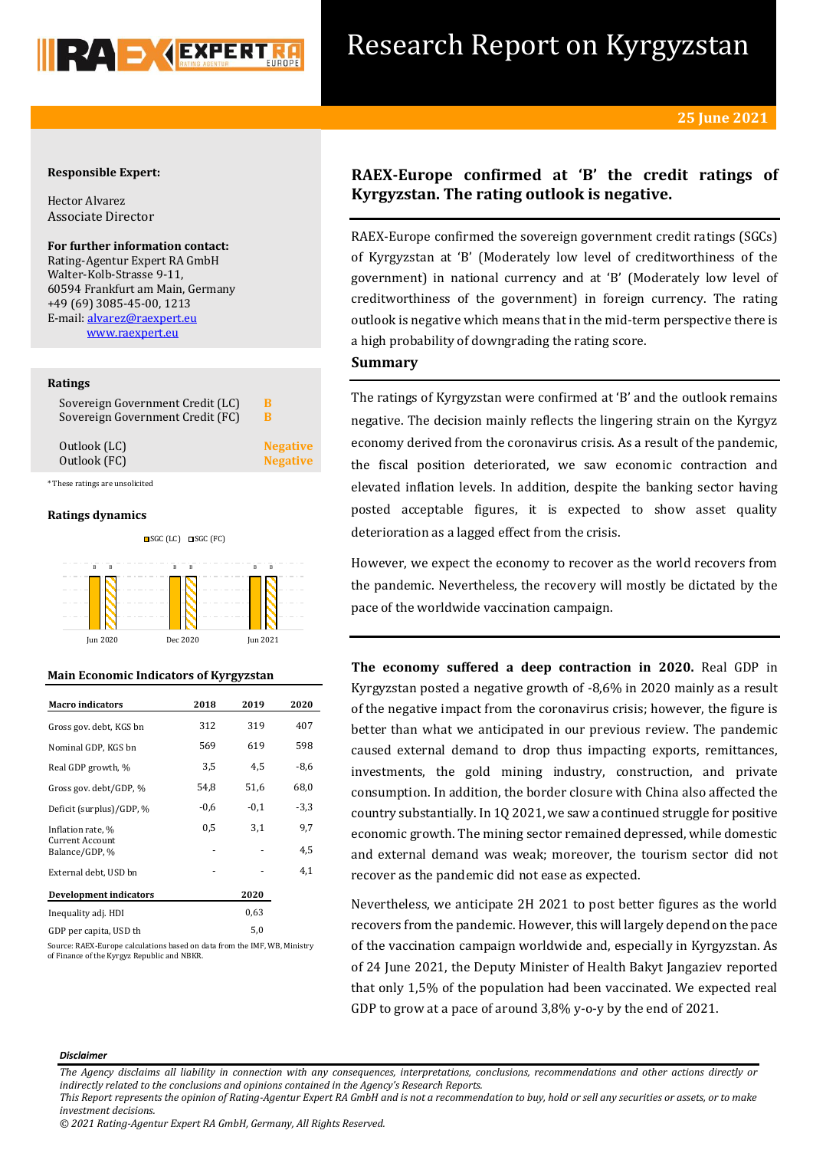

## **Responsible Expert:**

Hector Alvarez Associate Director

# **For further information contact:**

Rating-Agentur Expert RA GmbH Walter-Kolb-Strasse 9-11, 60594 Frankfurt am Main, Germany +49 (69) 3085-45-00, 1213 E-mail[: alvarez@raexpert.eu](mailto:alvarez@raexpert.eu) [www.raexpert.eu](http://raexpert.eu/)

## **Ratings**

| Sovereign Government Credit (FC)<br>в |                 |
|---------------------------------------|-----------------|
| Outlook (LC)                          | <b>Negative</b> |
| Outlook (FC)                          | <b>Negative</b> |

\* These ratings are unsolicited

### **Ratings dynamics**



## **Main Economic Indicators of Kyrgyzstan**

| <b>Macro indicators</b>                  | 2018   | 2019   | 2020   |
|------------------------------------------|--------|--------|--------|
| Gross gov. debt, KGS bn                  | 312    | 319    | 407    |
| Nominal GDP, KGS bn                      | 569    | 619    | 598    |
| Real GDP growth, %                       | 3,5    | 4,5    | $-8,6$ |
| Gross gov. debt/GDP, %                   | 54,8   | 51,6   | 68,0   |
| Deficit (surplus)/GDP, %                 | $-0,6$ | $-0,1$ | $-3,3$ |
| Inflation rate, %                        | 0,5    | 3,1    | 9,7    |
| <b>Current Account</b><br>Balance/GDP, % |        |        | 4,5    |
| External debt, USD bn                    |        |        | 4,1    |
| <b>Development indicators</b>            |        | 2020   |        |
| Inequality adj. HDI                      |        | 0.63   |        |
| GDP per capita, USD th                   |        | 5,0    |        |

Source: RAEX-Europe calculations based on data from the IMF, WB, Ministry of Finance of the Kyrgyz Republic and NBKR.

# **RAEX-Europe confirmed at 'B' the credit ratings of Kyrgyzstan. The rating outlook is negative.**

RAEX-Europe confirmed the sovereign government credit ratings (SGCs) of Kyrgyzstan at 'B' (Moderately low level of creditworthiness of the government) in national currency and at 'B' (Moderately low level of creditworthiness of the government) in foreign currency. The rating outlook is negative which means that in the mid-term perspective there is a high probability of downgrading the rating score.

## **Summary**

The ratings of Kyrgyzstan were confirmed at 'B' and the outlook remains negative. The decision mainly reflects the lingering strain on the Kyrgyz economy derived from the coronavirus crisis. As a result of the pandemic, the fiscal position deteriorated, we saw economic contraction and elevated inflation levels. In addition, despite the banking sector having posted acceptable figures, it is expected to show asset quality deterioration as a lagged effect from the crisis.

However, we expect the economy to recover as the world recovers from the pandemic. Nevertheless, the recovery will mostly be dictated by the pace of the worldwide vaccination campaign.

**The economy suffered a deep contraction in 2020.** Real GDP in Kyrgyzstan posted a negative growth of -8,6% in 2020 mainly as a result of the negative impact from the coronavirus crisis; however, the figure is better than what we anticipated in our previous review. The pandemic caused external demand to drop thus impacting exports, remittances, investments, the gold mining industry, construction, and private consumption. In addition, the border closure with China also affected the country substantially. In 1Q 2021, we saw a continued struggle for positive economic growth. The mining sector remained depressed, while domestic and external demand was weak; moreover, the tourism sector did not recover as the pandemic did not ease as expected.

Nevertheless, we anticipate 2H 2021 to post better figures as the world recovers from the pandemic. However, this will largely depend on the pace of the vaccination campaign worldwide and, especially in Kyrgyzstan. As of 24 June 2021, the Deputy Minister of Health Bakyt Jangaziev reported that only 1,5% of the population had been vaccinated. We expected real GDP to grow at a pace of around 3,8% y-o-y by the end of 2021.

#### *Disclaimer*

*The Agency disclaims all liability in connection with any consequences, interpretations, conclusions, recommendations and other actions directly or indirectly related to the conclusions and opinions contained in the Agency's Research Reports.*

*This Report represents the opinion of Rating-Agentur Expert RA GmbH and is not a recommendation to buy, hold or sell any securities or assets, or to make investment decisions.*

*© 2021 Rating-Agentur Expert RA GmbH, Germany, All Rights Reserved.*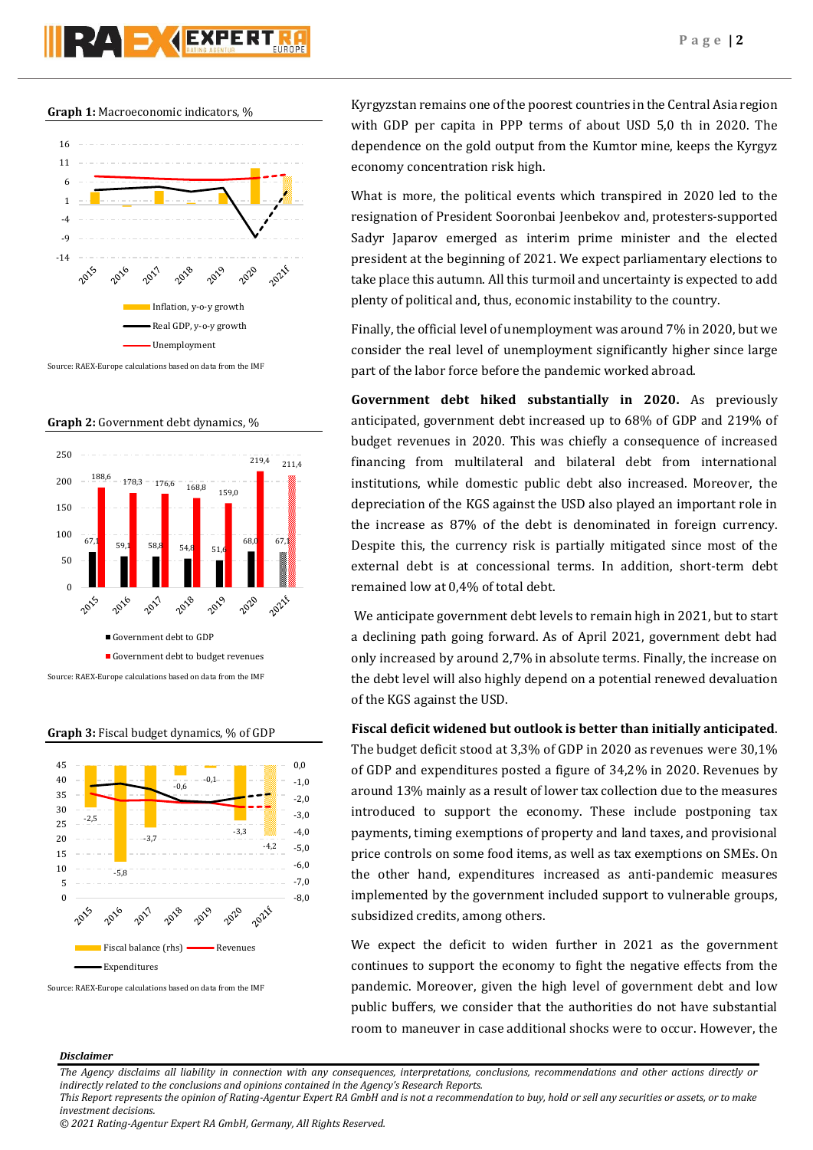# **PZA D (EXPERT**

**Graph 1:** Macroeconomic indicators, %



Source: RAEX-Europe calculations based on data from the IMF

**Graph 2:** Government debt dynamics, %



**Graph 3:** Fiscal budget dynamics, % of GDP



Source: RAEX-Europe calculations based on data from the IMF

Kyrgyzstan remains one of the poorest countries in the Central Asia region with GDP per capita in PPP terms of about USD 5,0 th in 2020. The dependence on the gold output from the Kumtor mine, keeps the Kyrgyz economy concentration risk high.

What is more, the political events which transpired in 2020 led to the resignation of President Sooronbai Jeenbekov and, protesters-supported Sadyr Japarov emerged as interim prime minister and the elected president at the beginning of 2021. We expect parliamentary elections to take place this autumn. All this turmoil and uncertainty is expected to add plenty of political and, thus, economic instability to the country.

Finally, the official level of unemployment was around 7% in 2020, but we consider the real level of unemployment significantly higher since large part of the labor force before the pandemic worked abroad.

**Government debt hiked substantially in 2020.** As previously anticipated, government debt increased up to 68% of GDP and 219% of budget revenues in 2020. This was chiefly a consequence of increased financing from multilateral and bilateral debt from international institutions, while domestic public debt also increased. Moreover, the depreciation of the KGS against the USD also played an important role in the increase as 87% of the debt is denominated in foreign currency. Despite this, the currency risk is partially mitigated since most of the external debt is at concessional terms. In addition, short-term debt remained low at 0,4% of total debt.

We anticipate government debt levels to remain high in 2021, but to start a declining path going forward. As of April 2021, government debt had only increased by around 2,7% in absolute terms. Finally, the increase on the debt level will also highly depend on a potential renewed devaluation of the KGS against the USD.

## **Fiscal deficit widened but outlook is better than initially anticipated**.

The budget deficit stood at 3,3% of GDP in 2020 as revenues were 30,1% of GDP and expenditures posted a figure of 34,2% in 2020. Revenues by around 13% mainly as a result of lower tax collection due to the measures introduced to support the economy. These include postponing tax payments, timing exemptions of property and land taxes, and provisional price controls on some food items, as well as tax exemptions on SMEs. On the other hand, expenditures increased as anti-pandemic measures implemented by the government included support to vulnerable groups, subsidized credits, among others.

We expect the deficit to widen further in 2021 as the government continues to support the economy to fight the negative effects from the pandemic. Moreover, given the high level of government debt and low public buffers, we consider that the authorities do not have substantial room to maneuver in case additional shocks were to occur. However, the

## *Disclaimer*

*The Agency disclaims all liability in connection with any consequences, interpretations, conclusions, recommendations and other actions directly or indirectly related to the conclusions and opinions contained in the Agency's Research Reports.*

*This Report represents the opinion of Rating-Agentur Expert RA GmbH and is not a recommendation to buy, hold or sell any securities or assets, or to make investment decisions.*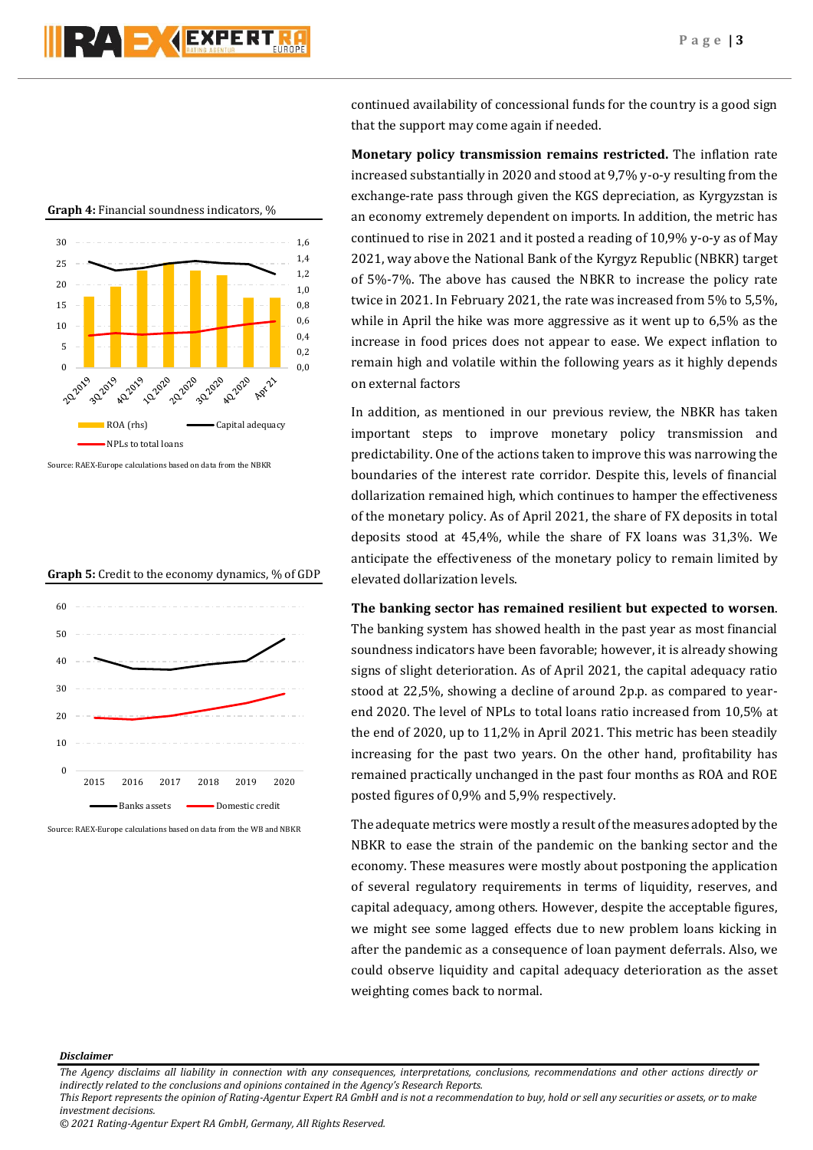



**Graph 4:** Financial soundness indicators, %

Source: RAEX-Europe calculations based on data from the NBKR





Source: RAEX-Europe calculations based on data from the WB and NBKR

continued availability of concessional funds for the country is a good sign that the support may come again if needed.

**Monetary policy transmission remains restricted.** The inflation rate increased substantially in 2020 and stood at 9,7% y-o-y resulting from the exchange-rate pass through given the KGS depreciation, as Kyrgyzstan is an economy extremely dependent on imports. In addition, the metric has continued to rise in 2021 and it posted a reading of 10,9% y-o-y as of May 2021, way above the National Bank of the Kyrgyz Republic (NBKR) target of 5%-7%. The above has caused the NBKR to increase the policy rate twice in 2021. In February 2021, the rate was increased from 5% to 5,5%, while in April the hike was more aggressive as it went up to 6,5% as the increase in food prices does not appear to ease. We expect inflation to remain high and volatile within the following years as it highly depends on external factors

In addition, as mentioned in our previous review, the NBKR has taken important steps to improve monetary policy transmission and predictability. One of the actions taken to improve this was narrowing the boundaries of the interest rate corridor. Despite this, levels of financial dollarization remained high, which continues to hamper the effectiveness of the monetary policy. As of April 2021, the share of FX deposits in total deposits stood at 45,4%, while the share of FX loans was 31,3%. We anticipate the effectiveness of the monetary policy to remain limited by elevated dollarization levels.

## **The banking sector has remained resilient but expected to worsen**.

The banking system has showed health in the past year as most financial soundness indicators have been favorable; however, it is already showing signs of slight deterioration. As of April 2021, the capital adequacy ratio stood at 22,5%, showing a decline of around 2p.p. as compared to yearend 2020. The level of NPLs to total loans ratio increased from 10,5% at the end of 2020, up to 11,2% in April 2021. This metric has been steadily increasing for the past two years. On the other hand, profitability has remained practically unchanged in the past four months as ROA and ROE posted figures of 0,9% and 5,9% respectively.

The adequate metrics were mostly a result of the measures adopted by the NBKR to ease the strain of the pandemic on the banking sector and the economy. These measures were mostly about postponing the application of several regulatory requirements in terms of liquidity, reserves, and capital adequacy, among others. However, despite the acceptable figures, we might see some lagged effects due to new problem loans kicking in after the pandemic as a consequence of loan payment deferrals. Also, we could observe liquidity and capital adequacy deterioration as the asset weighting comes back to normal.

#### *Disclaimer*

*The Agency disclaims all liability in connection with any consequences, interpretations, conclusions, recommendations and other actions directly or indirectly related to the conclusions and opinions contained in the Agency's Research Reports. This Report represents the opinion of Rating-Agentur Expert RA GmbH and is not a recommendation to buy, hold or sell any securities or assets, or to make* 

*investment decisions.*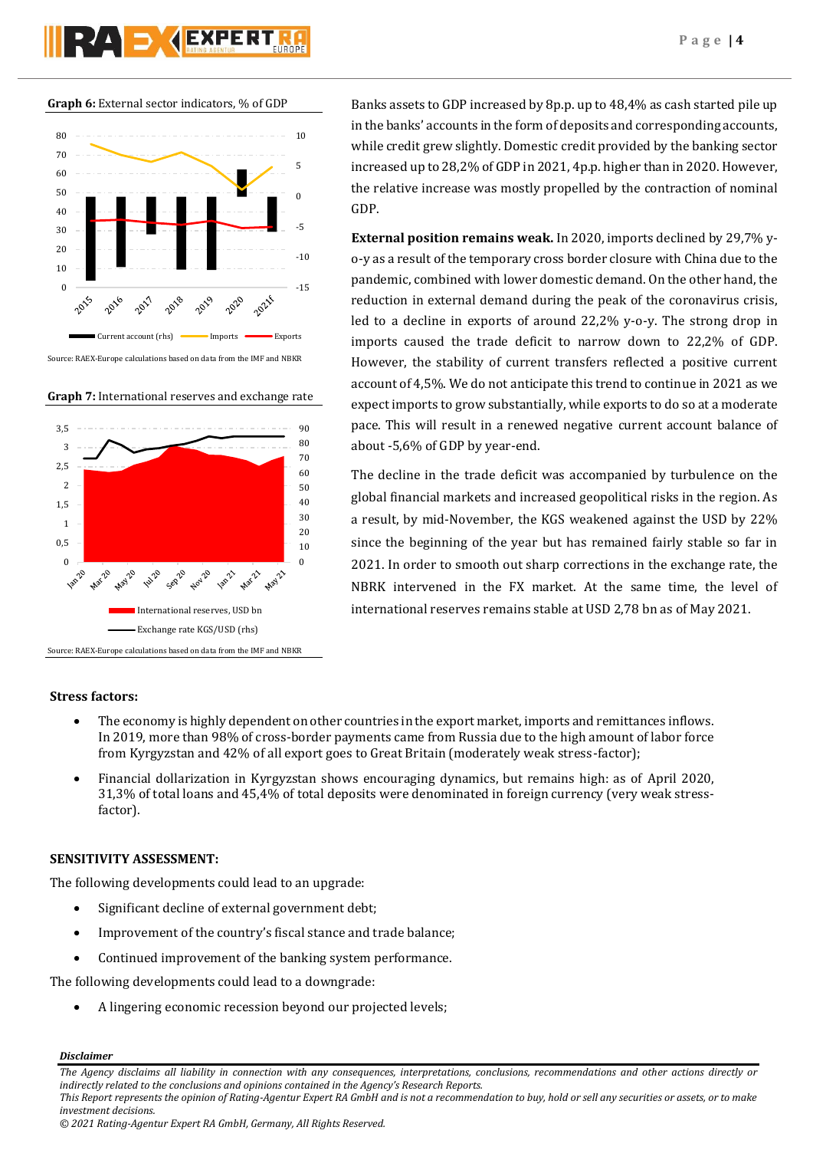







Banks assets to GDP increased by 8p.p. up to 48,4% as cash started pile up in the banks' accounts in the form of deposits and corresponding accounts, while credit grew slightly. Domestic credit provided by the banking sector increased up to 28,2% of GDP in 2021, 4p.p. higher than in 2020. However, the relative increase was mostly propelled by the contraction of nominal GDP.

**External position remains weak.** In 2020, imports declined by 29,7% yo-y as a result of the temporary cross border closure with China due to the pandemic, combined with lower domestic demand. On the other hand, the reduction in external demand during the peak of the coronavirus crisis, led to a decline in exports of around 22,2% y-o-y. The strong drop in imports caused the trade deficit to narrow down to 22,2% of GDP. However, the stability of current transfers reflected a positive current account of 4,5%. We do not anticipate this trend to continue in 2021 as we expect imports to grow substantially, while exports to do so at a moderate pace. This will result in a renewed negative current account balance of about -5,6% of GDP by year-end.

The decline in the trade deficit was accompanied by turbulence on the global financial markets and increased geopolitical risks in the region. As a result, by mid-November, the KGS weakened against the USD by 22% since the beginning of the year but has remained fairly stable so far in 2021. In order to smooth out sharp corrections in the exchange rate, the NBRK intervened in the FX market. At the same time, the level of international reserves remains stable at USD 2,78 bn as of May 2021.

## **Stress factors:**

- The economy is highly dependent on other countries in the export market, imports and remittances inflows. In 2019, more than 98% of cross-border payments came from Russia due to the high amount of labor force from Kyrgyzstan and 42% of all export goes to Great Britain (moderately weak stress-factor);
- Financial dollarization in Kyrgyzstan shows encouraging dynamics, but remains high: as of April 2020, 31,3% of total loans and 45,4% of total deposits were denominated in foreign currency (very weak stressfactor).

## **SENSITIVITY ASSESSMENT:**

The following developments could lead to an upgrade:

- Significant decline of external government debt;
- Improvement of the country's fiscal stance and trade balance;
- Continued improvement of the banking system performance.

The following developments could lead to a downgrade:

A lingering economic recession beyond our projected levels;

*Disclaimer* 

*The Agency disclaims all liability in connection with any consequences, interpretations, conclusions, recommendations and other actions directly or indirectly related to the conclusions and opinions contained in the Agency's Research Reports.*

*This Report represents the opinion of Rating-Agentur Expert RA GmbH and is not a recommendation to buy, hold or sell any securities or assets, or to make investment decisions.*

*<sup>© 2021</sup> Rating-Agentur Expert RA GmbH, Germany, All Rights Reserved.*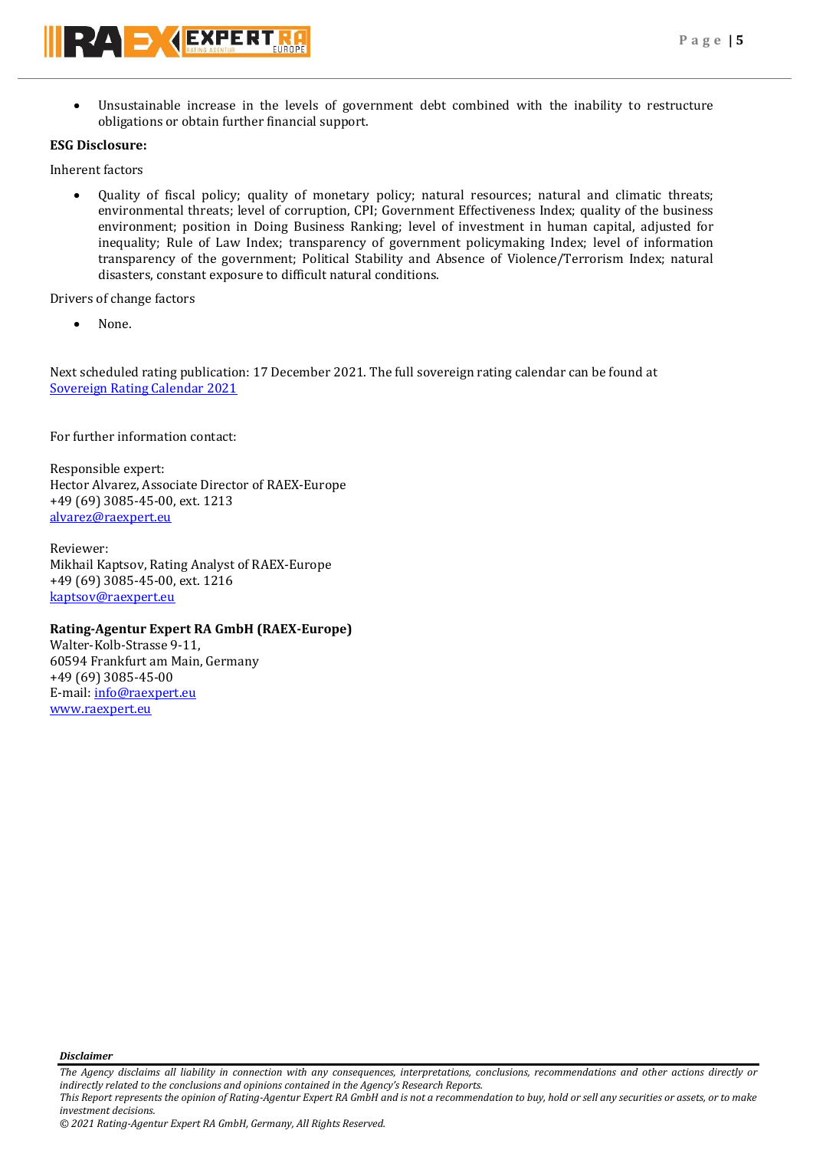Unsustainable increase in the levels of government debt combined with the inability to restructure obligations or obtain further financial support.

# **ESG Disclosure:**

Inherent factors

 Quality of fiscal policy; quality of monetary policy; natural resources; natural and climatic threats; environmental threats; level of corruption, CPI; Government Effectiveness Index; quality of the business environment; position in Doing Business Ranking; level of investment in human capital, adjusted for inequality; Rule of Law Index; transparency of government policymaking Index; level of information transparency of the government; Political Stability and Absence of Violence/Terrorism Index; natural disasters, constant exposure to difficult natural conditions.

Drivers of change factors

None.

Next scheduled rating publication: 17 December 2021. The full sovereign rating calendar can be found at [Sovereign Rating Calendar 2021](https://raexpert.eu/sovereign/#conf-tab-5)

For further information contact:

Responsible expert: Hector Alvarez, Associate Director of RAEX-Europe +49 (69) 3085-45-00, ext. 1213 [alvarez@raexpert.eu](mailto:alvarez@raexpert.eu)

Reviewer: Mikhail Kaptsov, Rating Analyst of RAEX-Europe +49 (69) 3085-45-00, ext. 1216 [kaptsov@raexpert.eu](mailto:kaptsov@raexpert.eu)

## **Rating-Agentur Expert RA GmbH (RAEX-Europe)**

Walter-Kolb-Strasse 9-11, 60594 Frankfurt am Main, Germany +49 (69) 3085-45-00 E-mail[: info@raexpert.eu](mailto:info@raexpert.eu) [www.raexpert.eu](http://raexpert.eu/)

*Disclaimer* 

*The Agency disclaims all liability in connection with any consequences, interpretations, conclusions, recommendations and other actions directly or indirectly related to the conclusions and opinions contained in the Agency's Research Reports.*

*This Report represents the opinion of Rating-Agentur Expert RA GmbH and is not a recommendation to buy, hold or sell any securities or assets, or to make investment decisions.*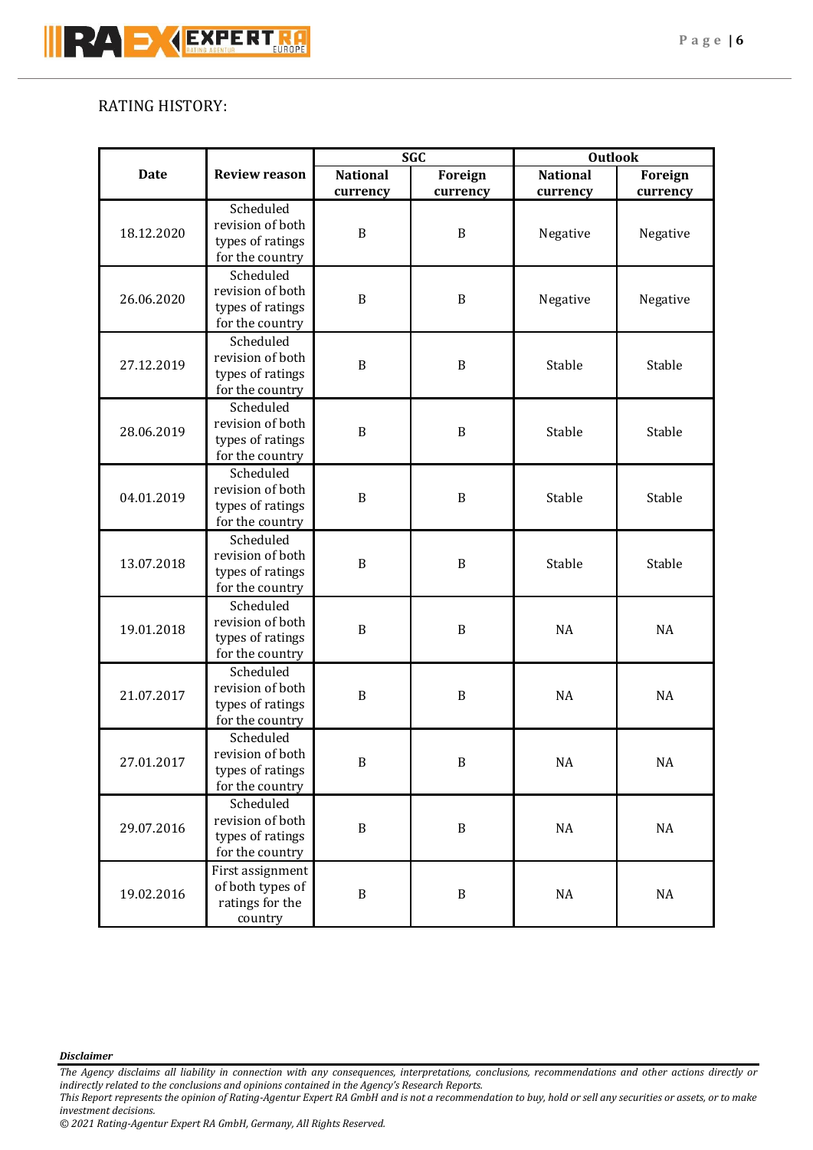# RATING HISTORY:

|             |                                                                      | <b>SGC</b>      |                  | <b>Outlook</b>  |           |
|-------------|----------------------------------------------------------------------|-----------------|------------------|-----------------|-----------|
| <b>Date</b> | <b>Review reason</b>                                                 | <b>National</b> | <b>Foreign</b>   | <b>National</b> | Foreign   |
|             |                                                                      | currency        | currency         | currency        | currency  |
| 18.12.2020  | Scheduled<br>revision of both<br>types of ratings<br>for the country | $\, {\bf B}$    | $\boldsymbol{B}$ | Negative        | Negative  |
| 26.06.2020  | Scheduled<br>revision of both<br>types of ratings<br>for the country | $\, {\bf B}$    | $\boldsymbol{B}$ | Negative        | Negative  |
| 27.12.2019  | Scheduled<br>revision of both<br>types of ratings<br>for the country | $\, {\bf B}$    | $\boldsymbol{B}$ | Stable          | Stable    |
| 28.06.2019  | Scheduled<br>revision of both<br>types of ratings<br>for the country | $\, {\bf B}$    | $\boldsymbol{B}$ | Stable          | Stable    |
| 04.01.2019  | Scheduled<br>revision of both<br>types of ratings<br>for the country | $\, {\bf B}$    | $\boldsymbol{B}$ | Stable          | Stable    |
| 13.07.2018  | Scheduled<br>revision of both<br>types of ratings<br>for the country | B               | $\, {\bf B}$     | Stable          | Stable    |
| 19.01.2018  | Scheduled<br>revision of both<br>types of ratings<br>for the country | $\, {\bf B}$    | $\boldsymbol{B}$ | <b>NA</b>       | <b>NA</b> |
| 21.07.2017  | Scheduled<br>revision of both<br>types of ratings<br>for the country | B               | $\, {\bf B}$     | <b>NA</b>       | <b>NA</b> |
| 27.01.2017  | Scheduled<br>revision of both<br>types of ratings<br>for the country | $\, {\bf B}$    | $\, {\bf B}$     | <b>NA</b>       | NA        |
| 29.07.2016  | Scheduled<br>revision of both<br>types of ratings<br>for the country | $\, {\bf B}$    | $\, {\bf B}$     | $\rm NA$        | $\rm NA$  |
| 19.02.2016  | First assignment<br>of both types of<br>ratings for the<br>country   | $\, {\bf B}$    | $\, {\bf B}$     | $\rm NA$        | $\rm NA$  |

*Disclaimer* 

*The Agency disclaims all liability in connection with any consequences, interpretations, conclusions, recommendations and other actions directly or indirectly related to the conclusions and opinions contained in the Agency's Research Reports.*

*This Report represents the opinion of Rating-Agentur Expert RA GmbH and is not a recommendation to buy, hold or sell any securities or assets, or to make investment decisions.*